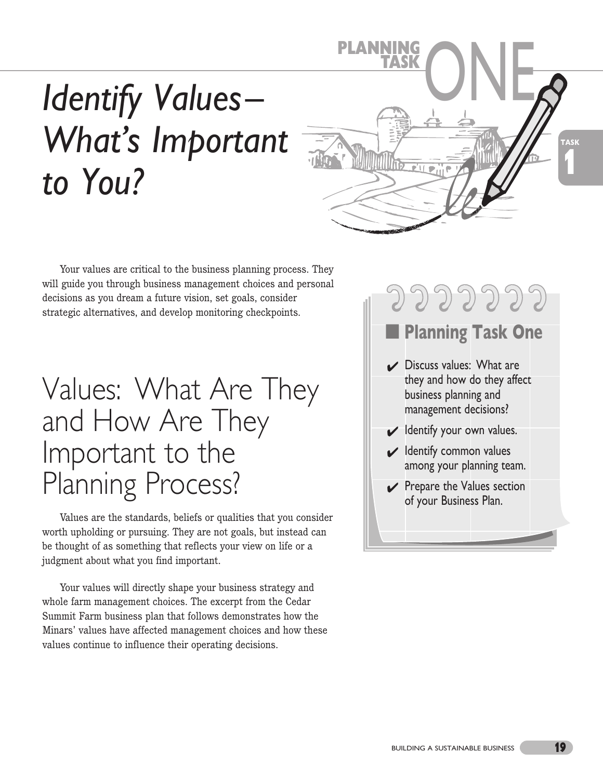# *Identify Values – What's Important to You?*



Your values are critical to the business planning process. They will guide you through business management choices and personal decisions as you dream a future vision, set goals, consider strategic alternatives, and develop monitoring checkpoints.

## Values: What Are They and How Are They Important to the Planning Process?

Values are the standards, beliefs or qualities that you consider worth upholding or pursuing. They are not goals, but instead can be thought of as something that reflects your view on life or a judgment about what you find important.

Your values will directly shape your business strategy and whole farm management choices. The excerpt from the Cedar Summit Farm business plan that follows demonstrates how the Minars' values have affected management choices and how these values continue to influence their operating decisions.

## ■ **Planning Task One**

**つつつつつつつ** 

- $\vee$  Discuss values: What are they and how do they affect business planning and management decisions?
- $\blacktriangleright$  Identify your own values.
- $\vee$  Identify common values among your planning team.
- $\vee$  Prepare the Values section of your Business Plan.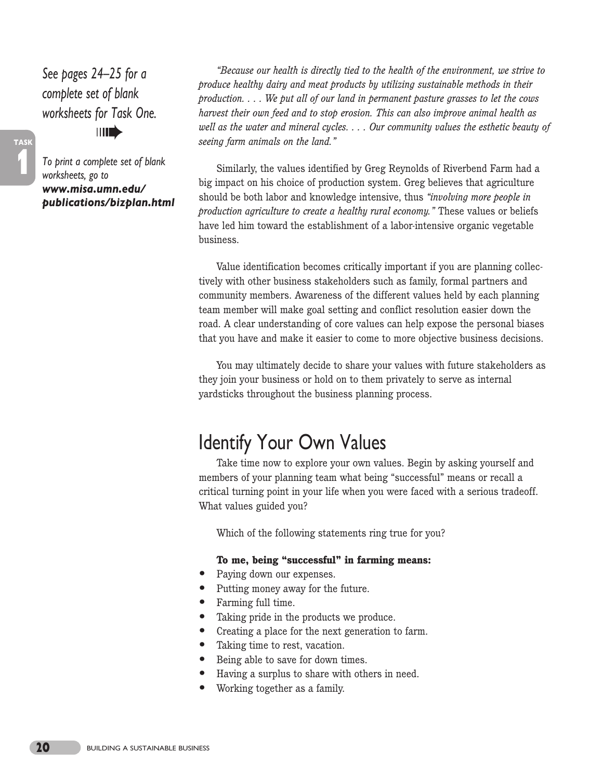*See pages 24–25 for a complete set of blank worksheets for Task One.* ➠

*To print a complete set of blank worksheets, go to www.misa.umn.edu/ publications/bizplan.html*

**1**

**TASK**

*"Because our health is directly tied to the health of the environment, we strive to produce healthy dairy and meat products by utilizing sustainable methods in their production. . . . We put all of our land in permanent pasture grasses to let the cows harvest their own feed and to stop erosion. This can also improve animal health as well as the water and mineral cycles. . . . Our community values the esthetic beauty of seeing farm animals on the land."*

Similarly, the values identified by Greg Reynolds of Riverbend Farm had a big impact on his choice of production system. Greg believes that agriculture should be both labor and knowledge intensive, thus *"involving more people in production agriculture to create a healthy rural economy."* These values or beliefs have led him toward the establishment of a labor-intensive organic vegetable business.

Value identification becomes critically important if you are planning collectively with other business stakeholders such as family, formal partners and community members. Awareness of the different values held by each planning team member will make goal setting and conflict resolution easier down the road. A clear understanding of core values can help expose the personal biases that you have and make it easier to come to more objective business decisions.

You may ultimately decide to share your values with future stakeholders as they join your business or hold on to them privately to serve as internal yardsticks throughout the business planning process.

## Identify Your Own Values

Take time now to explore your own values. Begin by asking yourself and members of your planning team what being "successful" means or recall a critical turning point in your life when you were faced with a serious tradeoff. What values guided you?

Which of the following statements ring true for you?

#### **To me, being "successful" in farming means:**

- **•** Paying down our expenses.
- Putting money away for the future.
- **•** Farming full time.
- **•** Taking pride in the products we produce.
- **•** Creating a place for the next generation to farm.
- **•** Taking time to rest, vacation.
- **•** Being able to save for down times.
- **•** Having a surplus to share with others in need.
- **•** Working together as a family.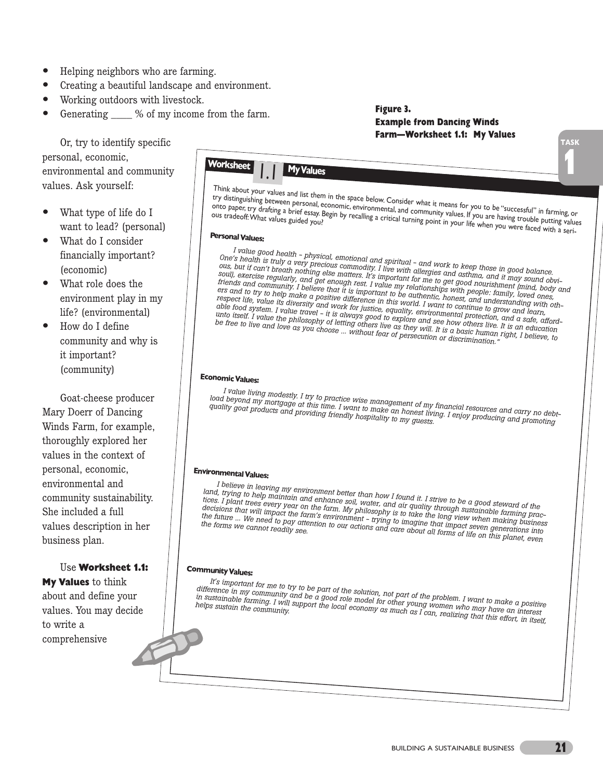- **•** Helping neighbors who are farming.
- **•** Creating a beautiful landscape and environment.
- **•** Working outdoors with livestock.
- Generating \_\_\_\_ % of my income from the farm.

Or, try to identify specific personal, economic, environmental and community values. Ask yourself:

- **•** What type of life do I want to lead? (personal)
- **•** What do I consider financially important? (economic)
- **•** What role does the environment play in my life? (environmental)
- **•** How do I define community and why is it important? (community)

Goat-cheese producer Mary Doerr of Dancing Winds Farm, for example, thoroughly explored her values in the context of personal, economic, environmental and community sustainability. She included a full values description in her business plan.

#### Use **Worksheet 1.1:**

**My Values** to think about and define your values. You may decide to write a comprehensive

### Worksheet **1 1 My Values** Think about your values and list them in the space below. Consider what it means for you to be "successful" in<br>try distinguishing between personal, economic, environmental, and community values. If you to be "successful" i try distinguishing between personal, economic, environmental, and community values. If you to be "successful" in farming, or<br>Onto paper, try drafting a brief essay. Begin by recalling a critical turning point in you are ha onto paper, try drafting a brief essay. Begin by recalling a critical turning point in your life when you were faced with a seri-<br>Onto paper, try drafting a brief essay. Begin by recalling a critical turning point in your Personal Values: **EconomicValues: EnvironmentalValues: Community Values:** *<sup>I</sup> value good health - physical, emotional and spiritual - and work to keep those in good balance.* I value good health - physical, emotional and sputual - and work to keep those in good balance.<br>One's health is truly a very precious commodity. I live with allergies and asthma, and it may sound obvi-Une s health is truly a very previous commonly. Live with allergies and astuma, and it may sound obvious, but if can't breath nothing else matters. It's important for me to get good nourishment (mind, body and and continue soul), exercise regularly, and get enough rest. It's important for me to get good nourishment (may sound obvi-<br>friends and community. I believe that it is important for me to get good nourishment (mind, body a<br>first and to ers and to try to help make a positive difference in this world. I was understanding with<br>respect life, value its diversity and work for justice, when then the continue to design and inderstanding wit<br>able food system. I v *respect life, value its diversity and work for justice, equality, environmental protection, and <sup>a</sup> safe, affordits pectrums, value its alwaysity and work for <i>justice, equality, environmental protection, and a suit, and a*<br>able food system. I value travel - it is always good to explore and see how others live. It is an education unto itself. I value the philosophy of letting others live axplore and see how others live. It is an education<br>be free to live and love as you choose ... without fear of persecution or discrimination,"<br>be free to live and and useu. I range are princeptly of leading outers are as aley rrui. It is a basic haman.<br>Be free to live and love as you choose ... Without fear of persecution or discrimination." I value living modestly. I try to practice wise management of my financial resources and carry no debtload beyond "ny mottestly. I try to practice wise management of my financial resources and carry no deb<br>quality goat products and providing friendly hospitality to my guests.<br>quality goat products and providing friendly ho I believe in leaving my environment better than how I found it. I strive to be a good steward of the land, trying to help maintain and enhance soil, water, and ait. I strive to be a good steward of the<br>tices. I plant trees every year on the farm. My philosophy is to take the longh sustainable farming prac-<br>decisions that iana, ayang io neup maanaan ana enananoe sou, waner, ana an yaanny aavayn sasuanasio namang practices. I plant<br>tices. I plant trees every year on the farm. My philosophy is to take the long view when making business *trying to imagine that impact seven generations into the forms we cannot readily see.* accessions and true angles are names chronomical - ayang to unagule and angles seven generations and<br>the future ... We need to pay attention to our actions and care about all forms of life on this planet, even It's important for me to try to be part of the solution, not part of the problem. I want to make a positive difference in my community and be a good role model for other young women who make a positive in sustainable farm difference in my community and be part of the solution, not part of the problem. I want to make a positiv<br>in sustainable farming. I will support the local economy as much aroung women who mat to make a positiv<br>helps sustai amerence at my community and be a good fore model for outer young women who may have an interest<br>in sustainable farming. I will support the local economy as much as I can, realizing that this effort, in itself, **1 TASK Figure 3. Example from Dancing Winds Farm—Worksheet 1.1: My Values**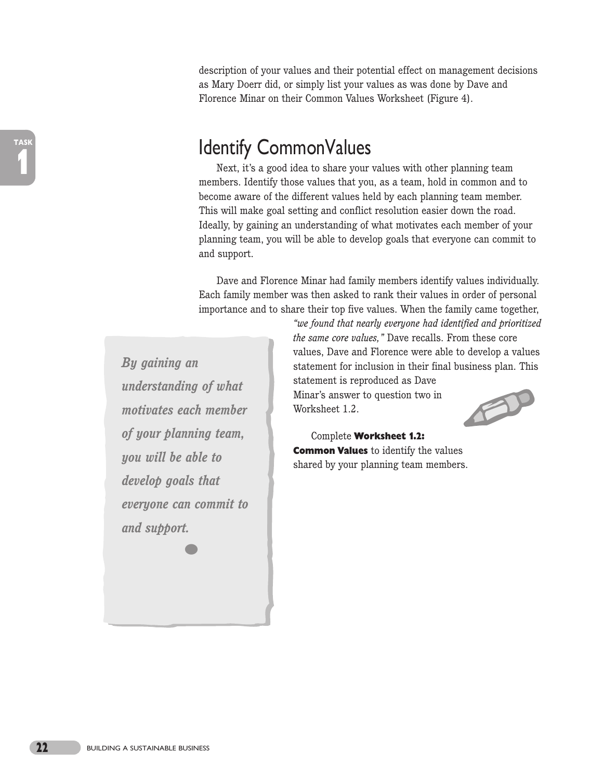description of your values and their potential effect on management decisions as Mary Doerr did, or simply list your values as was done by Dave and Florence Minar on their Common Values Worksheet (Figure 4).

## identify CommonValues

Next, it's a good idea to share your values with other planning team members. Identify those values that you, as a team, hold in common and to become aware of the different values held by each planning team member. This will make goal setting and conflict resolution easier down the road. Ideally, by gaining an understanding of what motivates each member of your planning team, you will be able to develop goals that everyone can commit to and support.

Dave and Florence Minar had family members identify values individually. Each family member was then asked to rank their values in order of personal importance and to share their top five values. When the family came together,

*By gaining an understanding of what motivates each member of your planning team, you will be able to develop goals that everyone can commit to and support.* **•**

*the same core values,"* Dave recalls. From these core values, Dave and Florence were able to develop a values statement for inclusion in their final business plan. This statement is reproduced as Dave

*"we found that nearly everyone had identified and prioritized*

Minar's answer to question two in Worksheet 1.2.



Complete **Worksheet 1.2: Common Values** to identify the values shared by your planning team members.